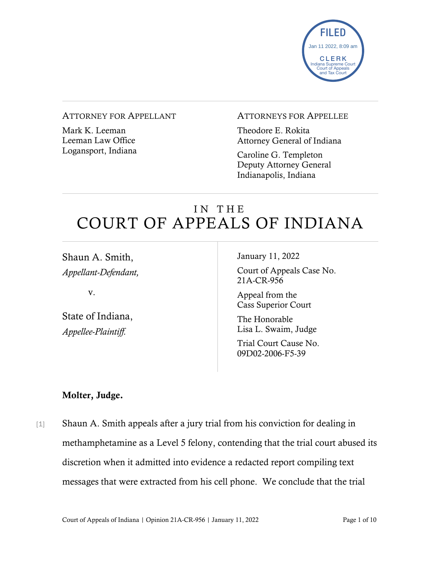

#### ATTORNEY FOR APPELLANT

Mark K. Leeman Leeman Law Office Logansport, Indiana

### ATTORNEYS FOR APPELLEE

Theodore E. Rokita Attorney General of Indiana

Caroline G. Templeton Deputy Attorney General Indianapolis, Indiana

# IN THE COURT OF APPEALS OF INDIANA

Shaun A. Smith, *Appellant-Defendant,*

v.

State of Indiana, *Appellee-Plaintiff.*

January 11, 2022

Court of Appeals Case No. 21A-CR-956

Appeal from the Cass Superior Court

The Honorable Lisa L. Swaim, Judge

Trial Court Cause No. 09D02-2006-F5-39

## Molter, Judge.

[1] Shaun A. Smith appeals after a jury trial from his conviction for dealing in methamphetamine as a Level 5 felony, contending that the trial court abused its discretion when it admitted into evidence a redacted report compiling text messages that were extracted from his cell phone. We conclude that the trial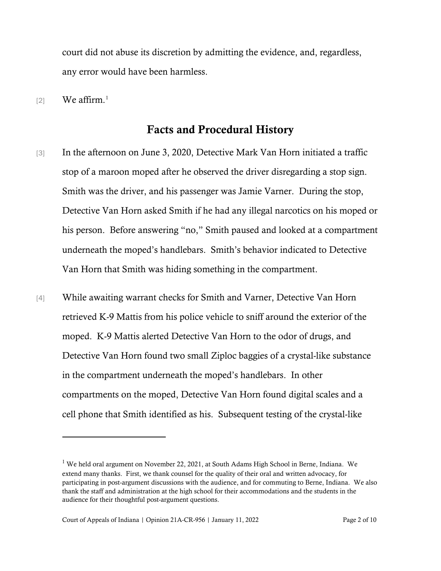court did not abuse its discretion by admitting the evidence, and, regardless, any error would have been harmless.

 $[2]$  We affirm.<sup>[1](#page-1-0)</sup>

## Facts and Procedural History

- [3] In the afternoon on June 3, 2020, Detective Mark Van Horn initiated a traffic stop of a maroon moped after he observed the driver disregarding a stop sign. Smith was the driver, and his passenger was Jamie Varner. During the stop, Detective Van Horn asked Smith if he had any illegal narcotics on his moped or his person. Before answering "no," Smith paused and looked at a compartment underneath the moped's handlebars. Smith's behavior indicated to Detective Van Horn that Smith was hiding something in the compartment.
- [4] While awaiting warrant checks for Smith and Varner, Detective Van Horn retrieved K-9 Mattis from his police vehicle to sniff around the exterior of the moped. K-9 Mattis alerted Detective Van Horn to the odor of drugs, and Detective Van Horn found two small Ziploc baggies of a crystal-like substance in the compartment underneath the moped's handlebars. In other compartments on the moped, Detective Van Horn found digital scales and a cell phone that Smith identified as his. Subsequent testing of the crystal-like

<span id="page-1-0"></span><sup>&</sup>lt;sup>1</sup> We held oral argument on November 22, 2021, at South Adams High School in Berne, Indiana. We extend many thanks. First, we thank counsel for the quality of their oral and written advocacy, for participating in post-argument discussions with the audience, and for commuting to Berne, Indiana. We also thank the staff and administration at the high school for their accommodations and the students in the audience for their thoughtful post-argument questions.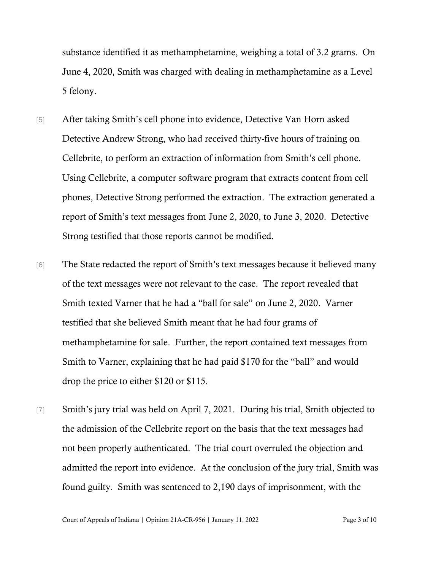substance identified it as methamphetamine, weighing a total of 3.2 grams. On June 4, 2020, Smith was charged with dealing in methamphetamine as a Level 5 felony.

- [5] After taking Smith's cell phone into evidence, Detective Van Horn asked Detective Andrew Strong, who had received thirty-five hours of training on Cellebrite, to perform an extraction of information from Smith's cell phone. Using Cellebrite, a computer software program that extracts content from cell phones, Detective Strong performed the extraction. The extraction generated a report of Smith's text messages from June 2, 2020, to June 3, 2020. Detective Strong testified that those reports cannot be modified.
- [6] The State redacted the report of Smith's text messages because it believed many of the text messages were not relevant to the case. The report revealed that Smith texted Varner that he had a "ball for sale" on June 2, 2020. Varner testified that she believed Smith meant that he had four grams of methamphetamine for sale. Further, the report contained text messages from Smith to Varner, explaining that he had paid \$170 for the "ball" and would drop the price to either \$120 or \$115.
- [7] Smith's jury trial was held on April 7, 2021. During his trial, Smith objected to the admission of the Cellebrite report on the basis that the text messages had not been properly authenticated. The trial court overruled the objection and admitted the report into evidence. At the conclusion of the jury trial, Smith was found guilty. Smith was sentenced to 2,190 days of imprisonment, with the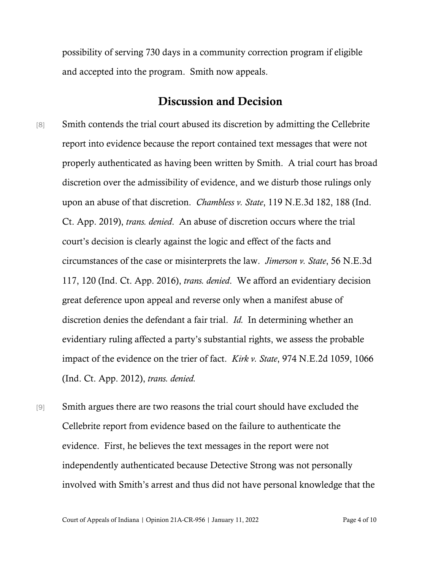possibility of serving 730 days in a community correction program if eligible and accepted into the program. Smith now appeals.

# Discussion and Decision

- [8] Smith contends the trial court abused its discretion by admitting the Cellebrite report into evidence because the report contained text messages that were not properly authenticated as having been written by Smith. A trial court has broad discretion over the admissibility of evidence, and we disturb those rulings only upon an abuse of that discretion. *Chambless v. State*, 119 N.E.3d 182, 188 (Ind. Ct. App. 2019), *trans. denied*. An abuse of discretion occurs where the trial court's decision is clearly against the logic and effect of the facts and circumstances of the case or misinterprets the law. *Jimerson v. State*, 56 N.E.3d 117, 120 (Ind. Ct. App. 2016), *trans. denied*. We afford an evidentiary decision great deference upon appeal and reverse only when a manifest abuse of discretion denies the defendant a fair trial. *Id.* In determining whether an evidentiary ruling affected a party's substantial rights, we assess the probable impact of the evidence on the trier of fact. *Kirk v. State*, 974 N.E.2d 1059, 1066 (Ind. Ct. App. 2012), *trans. denied.*
- [9] Smith argues there are two reasons the trial court should have excluded the Cellebrite report from evidence based on the failure to authenticate the evidence. First, he believes the text messages in the report were not independently authenticated because Detective Strong was not personally involved with Smith's arrest and thus did not have personal knowledge that the

Court of Appeals of Indiana | Opinion 21A-CR-956 | January 11, 2022 Page 4 of 10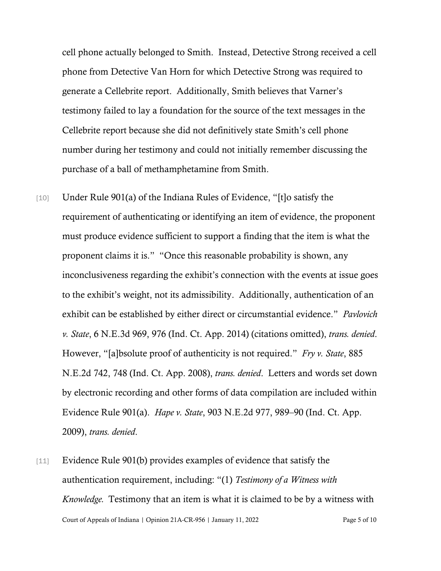cell phone actually belonged to Smith. Instead, Detective Strong received a cell phone from Detective Van Horn for which Detective Strong was required to generate a Cellebrite report. Additionally, Smith believes that Varner's testimony failed to lay a foundation for the source of the text messages in the Cellebrite report because she did not definitively state Smith's cell phone number during her testimony and could not initially remember discussing the purchase of a ball of methamphetamine from Smith.

- [10] Under Rule 901(a) of the Indiana Rules of Evidence, "[t]o satisfy the requirement of authenticating or identifying an item of evidence, the proponent must produce evidence sufficient to support a finding that the item is what the proponent claims it is." "Once this reasonable probability is shown, any inconclusiveness regarding the exhibit's connection with the events at issue goes to the exhibit's weight, not its admissibility. Additionally, authentication of an exhibit can be established by either direct or circumstantial evidence." *Pavlovich v. State*, 6 N.E.3d 969, 976 (Ind. Ct. App. 2014) (citations omitted), *trans. denied*. However, "[a]bsolute proof of authenticity is not required." *Fry v. State*, 885 N.E.2d 742, 748 (Ind. Ct. App. 2008), *trans. denied*. Letters and words set down by electronic recording and other forms of data compilation are included within Evidence Rule 901(a). *Hape v. State*, 903 N.E.2d 977, 989–90 (Ind. Ct. App. 2009), *trans. denied*.
- Court of Appeals of Indiana | Opinion 21A-CR-956 | January 11, 2022 Page 5 of 10 [11] Evidence Rule 901(b) provides examples of evidence that satisfy the authentication requirement, including: "(1) *Testimony of a Witness with Knowledge.* Testimony that an item is what it is claimed to be by a witness with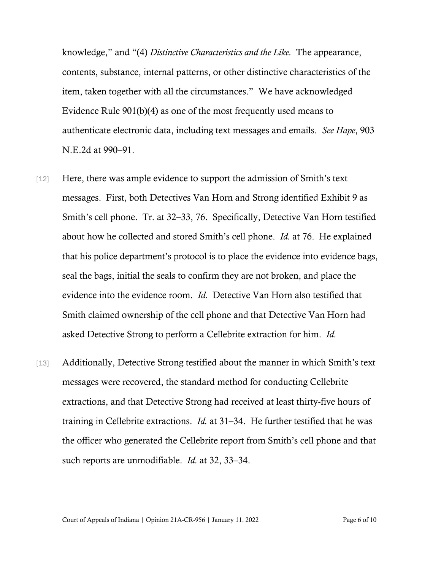knowledge," and "(4) *Distinctive Characteristics and the Like.* The appearance, contents, substance, internal patterns, or other distinctive characteristics of the item, taken together with all the circumstances." We have acknowledged Evidence Rule 901(b)(4) as one of the most frequently used means to authenticate electronic data, including text messages and emails. *See Hape*, 903 N.E.2d at 990–91.

- [12] Here, there was ample evidence to support the admission of Smith's text messages. First, both Detectives Van Horn and Strong identified Exhibit 9 as Smith's cell phone. Tr. at 32–33, 76. Specifically, Detective Van Horn testified about how he collected and stored Smith's cell phone. *Id.* at 76. He explained that his police department's protocol is to place the evidence into evidence bags, seal the bags, initial the seals to confirm they are not broken, and place the evidence into the evidence room. *Id.* Detective Van Horn also testified that Smith claimed ownership of the cell phone and that Detective Van Horn had asked Detective Strong to perform a Cellebrite extraction for him. *Id.*
- [13] Additionally, Detective Strong testified about the manner in which Smith's text messages were recovered, the standard method for conducting Cellebrite extractions, and that Detective Strong had received at least thirty-five hours of training in Cellebrite extractions. *Id.* at 31–34. He further testified that he was the officer who generated the Cellebrite report from Smith's cell phone and that such reports are unmodifiable. *Id.* at 32, 33–34.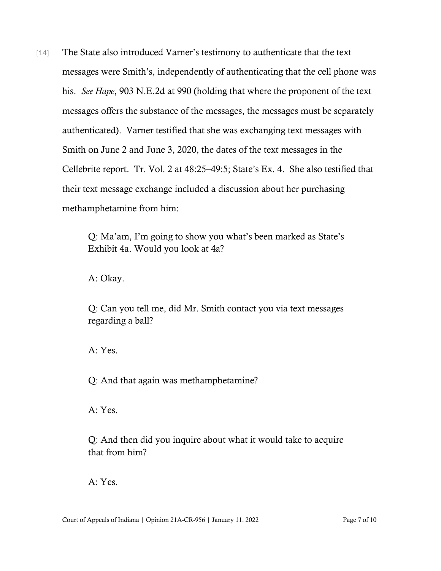[14] The State also introduced Varner's testimony to authenticate that the text messages were Smith's, independently of authenticating that the cell phone was his. *See Hape*, 903 N.E.2d at 990 (holding that where the proponent of the text messages offers the substance of the messages, the messages must be separately authenticated). Varner testified that she was exchanging text messages with Smith on June 2 and June 3, 2020, the dates of the text messages in the Cellebrite report. Tr. Vol. 2 at 48:25–49:5; State's Ex. 4. She also testified that their text message exchange included a discussion about her purchasing methamphetamine from him:

> Q: Ma'am, I'm going to show you what's been marked as State's Exhibit 4a. Would you look at 4a?

A: Okay.

Q: Can you tell me, did Mr. Smith contact you via text messages regarding a ball?

A: Yes.

Q: And that again was methamphetamine?

A: Yes.

Q: And then did you inquire about what it would take to acquire that from him?

A: Yes.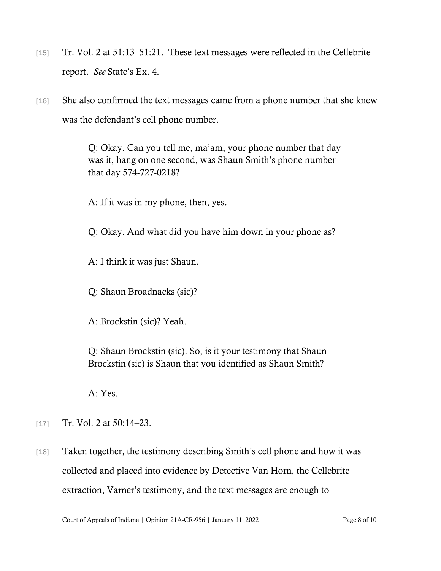- [15] Tr. Vol. 2 at 51:13–51:21. These text messages were reflected in the Cellebrite report. *See* State's Ex. 4.
- [16] She also confirmed the text messages came from a phone number that she knew was the defendant's cell phone number.

Q: Okay. Can you tell me, ma'am, your phone number that day was it, hang on one second, was Shaun Smith's phone number that day 574-727-0218?

A: If it was in my phone, then, yes.

Q: Okay. And what did you have him down in your phone as?

A: I think it was just Shaun.

Q: Shaun Broadnacks (sic)?

A: Brockstin (sic)? Yeah.

Q: Shaun Brockstin (sic). So, is it your testimony that Shaun Brockstin (sic) is Shaun that you identified as Shaun Smith?

A: Yes.

[17] Tr. Vol. 2 at 50:14–23.

[18] Taken together, the testimony describing Smith's cell phone and how it was collected and placed into evidence by Detective Van Horn, the Cellebrite extraction, Varner's testimony, and the text messages are enough to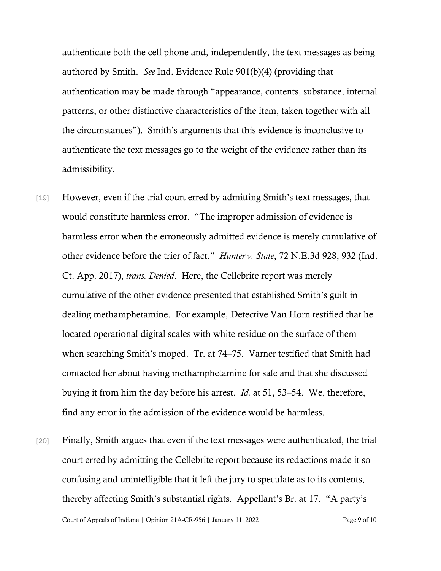authenticate both the cell phone and, independently, the text messages as being authored by Smith. *See* Ind. Evidence Rule 901(b)(4) (providing that authentication may be made through "appearance, contents, substance, internal patterns, or other distinctive characteristics of the item, taken together with all the circumstances"). Smith's arguments that this evidence is inconclusive to authenticate the text messages go to the weight of the evidence rather than its admissibility.

- [19] However, even if the trial court erred by admitting Smith's text messages, that would constitute harmless error. "The improper admission of evidence is harmless error when the erroneously admitted evidence is merely cumulative of other evidence before the trier of fact." *Hunter v. State*, 72 N.E.3d 928, 932 (Ind. Ct. App. 2017), *trans. Denied*. Here, the Cellebrite report was merely cumulative of the other evidence presented that established Smith's guilt in dealing methamphetamine. For example, Detective Van Horn testified that he located operational digital scales with white residue on the surface of them when searching Smith's moped. Tr. at 74–75. Varner testified that Smith had contacted her about having methamphetamine for sale and that she discussed buying it from him the day before his arrest. *Id.* at 51, 53–54. We, therefore, find any error in the admission of the evidence would be harmless.
- Court of Appeals of Indiana | Opinion 21A-CR-956 | January 11, 2022 Page 9 of 10 [20] Finally, Smith argues that even if the text messages were authenticated, the trial court erred by admitting the Cellebrite report because its redactions made it so confusing and unintelligible that it left the jury to speculate as to its contents, thereby affecting Smith's substantial rights. Appellant's Br. at 17. "A party's